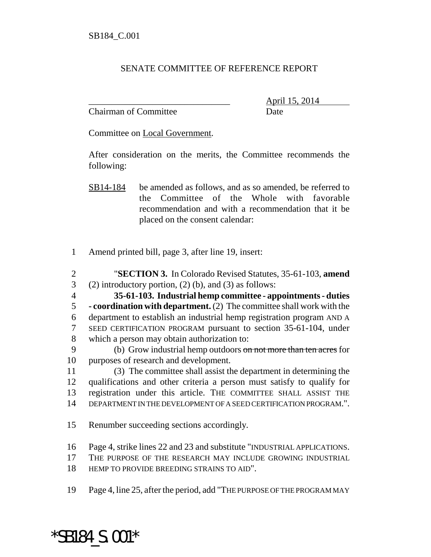## SENATE COMMITTEE OF REFERENCE REPORT

Chairman of Committee **Date** 

\_\_\_\_\_\_\_\_\_\_\_\_\_\_\_\_\_\_\_\_\_\_\_\_\_\_\_\_\_\_\_ April 15, 2014

Committee on Local Government.

After consideration on the merits, the Committee recommends the following:

- 1 Amend printed bill, page 3, after line 19, insert:
- 2 "**SECTION 3.** In Colorado Revised Statutes, 35-61-103, **amend** 3 (2) introductory portion, (2) (b), and (3) as follows:
- 4 **35-61-103. Industrial hemp committee appointments duties** 5 **- coordination with department.** (2) The committee shall work with the 6 department to establish an industrial hemp registration program AND A 7 SEED CERTIFICATION PROGRAM pursuant to section 35-61-104, under 8 which a person may obtain authorization to:
- 9 (b) Grow industrial hemp outdoors on not more than ten acres for 10 purposes of research and development.
- 11 (3) The committee shall assist the department in determining the 12 qualifications and other criteria a person must satisfy to qualify for 13 registration under this article. THE COMMITTEE SHALL ASSIST THE 14 DEPARTMENT IN THE DEVELOPMENT OF A SEED CERTIFICATION PROGRAM.".
- 15 Renumber succeeding sections accordingly.
- 16 Page 4, strike lines 22 and 23 and substitute "INDUSTRIAL APPLICATIONS.
- 17 THE PURPOSE OF THE RESEARCH MAY INCLUDE GROWING INDUSTRIAL
- 18 HEMP TO PROVIDE BREEDING STRAINS TO AID".
- 19 Page 4, line 25, after the period, add "THE PURPOSE OF THE PROGRAM MAY

\*SB184\_S.001\*

SB14-184 be amended as follows, and as so amended, be referred to the Committee of the Whole with favorable recommendation and with a recommendation that it be placed on the consent calendar: